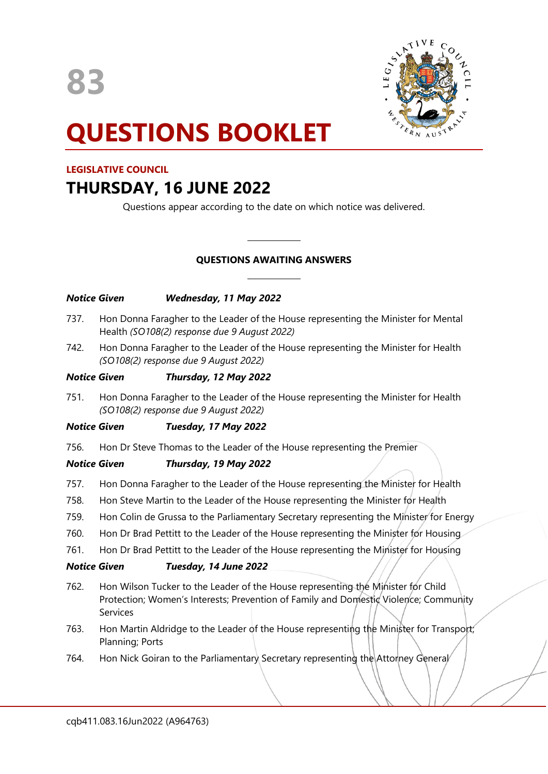

# **QUESTIONS BOOKLET**

# **LEGISLATIVE COUNCIL**

# **THURSDAY, 16 JUNE 2022**

Questions appear according to the date on which notice was delivered.

# **QUESTIONS AWAITING ANSWERS**

 $\overline{\phantom{a}}$ 

 $\overline{\phantom{a}}$ 

# *Notice Given Wednesday, 11 May 2022*

- 737. Hon Donna Faragher to the Leader of the House representing the Minister for Mental Health *(SO108(2) response due 9 August 2022)*
- 742. Hon Donna Faragher to the Leader of the House representing the Minister for Health *(SO108(2) response due 9 August 2022)*

# *Notice Given Thursday, 12 May 2022*

751. Hon Donna Faragher to the Leader of the House representing the Minister for Health *(SO108(2) response due 9 August 2022)*

# *Notice Given Tuesday, 17 May 2022*

756. Hon Dr Steve Thomas to the Leader of the House representing the Premier

# *Notice Given Thursday, 19 May 2022*

- 757. Hon Donna Faragher to the Leader of the House representing the Minister for Health
- 758. Hon Steve Martin to the Leader of the House representing the Minister for Health
- 759. Hon Colin de Grussa to the Parliamentary Secretary representing the Minister for Energy
- 760. Hon Dr Brad Pettitt to the Leader of the House representing the Minister for Housing
- 761. Hon Dr Brad Pettitt to the Leader of the House representing the Minister for Housing

# *Notice Given Tuesday, 14 June 2022*

- 762. Hon Wilson Tucker to the Leader of the House representing the Minister for Child Protection; Women's Interests; Prevention of Family and Domestic Violence; Community Services
- 763. Hon Martin Aldridge to the Leader of the House representing the Minister for Transport; Planning; Ports
- 764. Hon Nick Goiran to the Parliamentary Secretary representing the Attorney General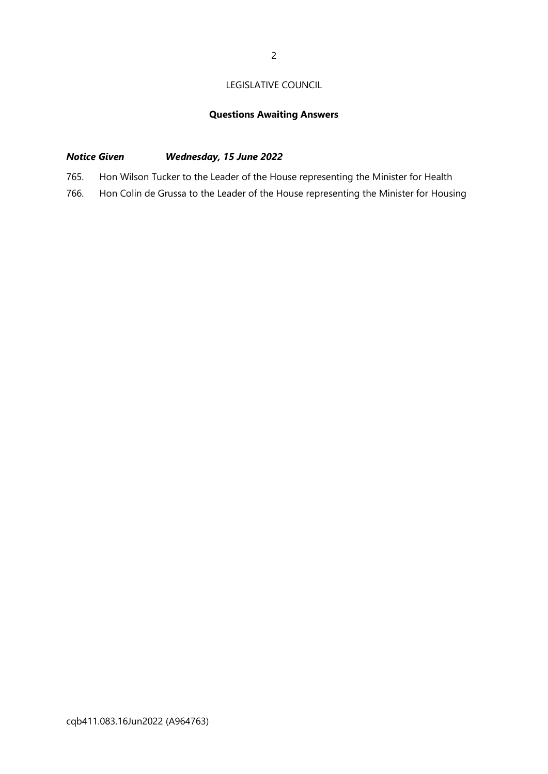# LEGISLATIVE COUNCIL

# **Questions Awaiting Answers**

# *Notice Given Wednesday, 15 June 2022*

- 765. Hon Wilson Tucker to the Leader of the House representing the Minister for Health
- 766. Hon Colin de Grussa to the Leader of the House representing the Minister for Housing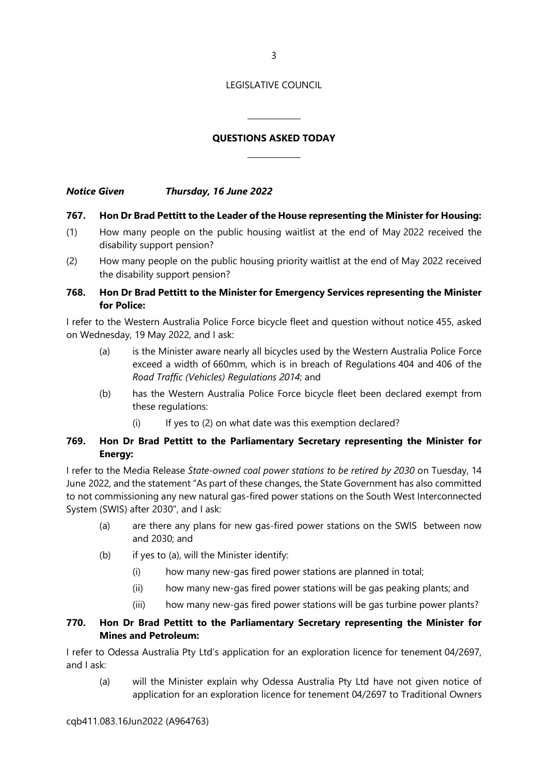3

#### LEGISLATIVE COUNCIL

# **QUESTIONS ASKED TODAY**

 $\overline{\phantom{a}}$ 

 $\overline{\phantom{a}}$ 

*Notice Given Thursday, 16 June 2022*

#### **767. Hon Dr Brad Pettitt to the Leader of the House representing the Minister for Housing:**

- (1) How many people on the public housing waitlist at the end of May 2022 received the disability support pension?
- (2) How many people on the public housing priority waitlist at the end of May 2022 received the disability support pension?

# **768. Hon Dr Brad Pettitt to the Minister for Emergency Services representing the Minister for Police:**

I refer to the Western Australia Police Force bicycle fleet and question without notice 455, asked on Wednesday, 19 May 2022, and I ask:

- (a) is the Minister aware nearly all bicycles used by the Western Australia Police Force exceed a width of 660mm, which is in breach of Regulations 404 and 406 of the *Road Traffic (Vehicles) Regulations 2014*; and
- (b) has the Western Australia Police Force bicycle fleet been declared exempt from these regulations:
	- (i) If yes to (2) on what date was this exemption declared?

#### **769. Hon Dr Brad Pettitt to the Parliamentary Secretary representing the Minister for Energy:**

I refer to the Media Release *State-owned coal power stations to be retired by 2030* on Tuesday, 14 June 2022, and the statement "As part of these changes, the State Government has also committed to not commissioning any new natural gas-fired power stations on the South West Interconnected System (SWIS) after 2030", and I ask:

- (a) are there any plans for new gas-fired power stations on the SWIS between now and 2030; and
- (b) if yes to (a), will the Minister identify:
	- (i) how many new-gas fired power stations are planned in total;
	- (ii) how many new-gas fired power stations will be gas peaking plants; and
	- (iii) how many new-gas fired power stations will be gas turbine power plants?

#### **770. Hon Dr Brad Pettitt to the Parliamentary Secretary representing the Minister for Mines and Petroleum:**

I refer to Odessa Australia Pty Ltd's application for an exploration licence for tenement 04/2697, and I ask:

(a) will the Minister explain why Odessa Australia Pty Ltd have not given notice of application for an exploration licence for tenement 04/2697 to Traditional Owners